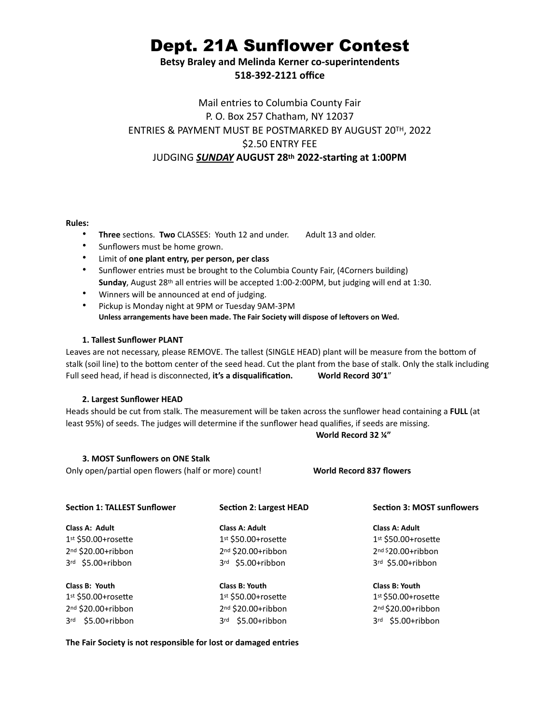# Dept. 21A Sunflower Contest

**Betsy Braley and Melinda Kerner co-superintendents 518-392-2121 office**

## Mail entries to Columbia County Fair P. O. Box 257 Chatham, NY 12037 ENTRIES & PAYMENT MUST BE POSTMARKED BY AUGUST 20TH, 2022 \$2.50 ENTRY FEE JUDGING *SUNDAY* **AUGUST 28th 2022-starting at 1:00PM**

#### **Rules:**

- **Three** sections. **Two** CLASSES: Youth 12 and under. Adult 13 and older.
- Sunflowers must be home grown.
- Limit of **one plant entry, per person, per class**
- Sunflower entries must be brought to the Columbia County Fair, (4Corners building) **Sunday**, August 28th all entries will be accepted 1:00-2:00PM, but judging will end at 1:30.
- Winners will be announced at end of judging.
- Pickup is Monday night at 9PM or Tuesday 9AM-3PM **Unless arrangements have been made. The Fair Society will dispose of leftovers on Wed.**

#### **1. Tallest Sunflower PLANT**

Leaves are not necessary, please REMOVE. The tallest (SINGLE HEAD) plant will be measure from the bottom of stalk (soil line) to the bottom center of the seed head. Cut the plant from the base of stalk. Only the stalk including Full seed head, if head is disconnected, **it's a disqualification. World Record 30'1**"

#### **2. Largest Sunflower HEAD**

Heads should be cut from stalk. The measurement will be taken across the sunflower head containing a **FULL** (at least 95%) of seeds. The judges will determine if the sunflower head qualifies, if seeds are missing.

#### **World Record 32 ¼"**

#### **3. MOST Sunflowers on ONE Stalk**

Only open/partial open flowers (half or more) count! **World Record 837 flowers**

| <b>Section 1: TALLEST Sunflower</b> | <b>Section 2: Largest HEAD</b> | <b>Section 3: MOST sunflowers</b><br>Class A: Adult |  |
|-------------------------------------|--------------------------------|-----------------------------------------------------|--|
| Class A: Adult                      | Class A: Adult                 |                                                     |  |
| $1st$ \$50.00+rosette               | $1st$ \$50.00+rosette          | $1st$ \$50.00+rosette                               |  |
| $2nd$ \$20.00+ribbon                | $2nd$ \$20.00+ribbon           | $2nd$ \$20.00+ribbon                                |  |
| 3rd \$5.00+ribbon                   | 3rd \$5.00+ribbon              | 3rd \$5.00+ribbon                                   |  |
| Class B: Youth                      | Class B: Youth                 | Class B: Youth                                      |  |
| $1st$ \$50.00+rosette               | $1st$ \$50.00+rosette          | $1st$ \$50.00+rosette                               |  |
| $2nd$ \$20.00+ribbon                | $2nd$ \$20.00+ribbon           | 2nd \$20.00+ribbon                                  |  |
| 3rd \$5.00+ribbon                   | 3rd \$5.00+ribbon              | 3rd \$5.00+ribbon                                   |  |

#### **The Fair Society is not responsible for lost or damaged entries**